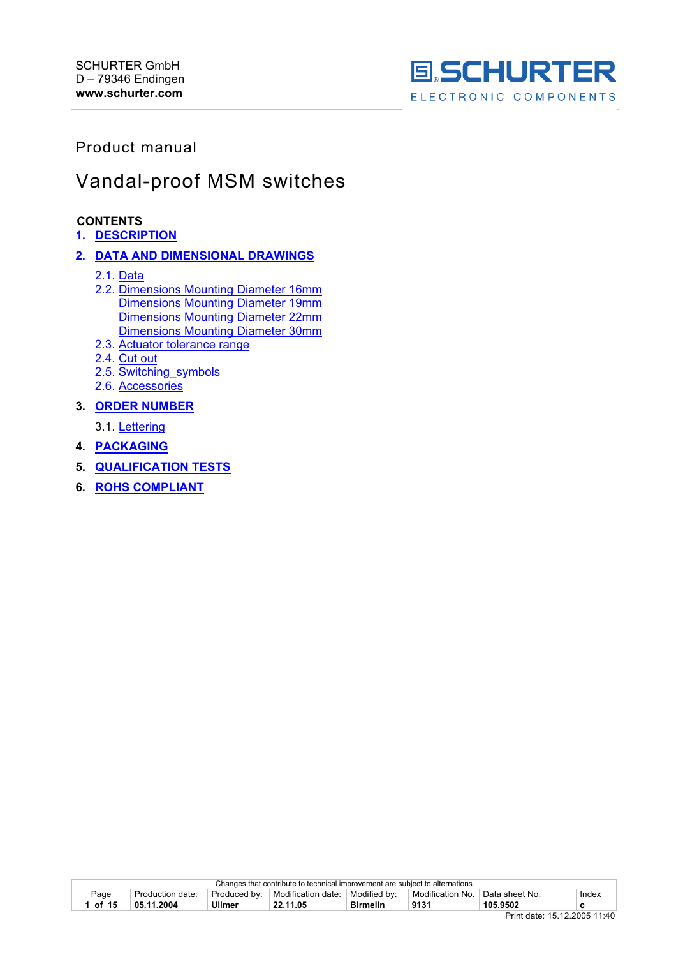

# Product manual

# Vandal-proof MSM switches

# **CONTENTS**

#### **1. DESCRIPTION**

### **2. DATA AND DIMENSIONAL DRAWINGS**

- 2.1. Data
- 2.2. Dimensions Mounting Diameter 16mm Dimensions Mounting Diameter 19mm Dimensions Mounting Diameter 22mm Dimensions Mounting Diameter 30mm
- 2.3. Actuator tolerance range
- 2.4. Cut out
- 2.5. Switching\_symbols
- 2.6. Accessories

# **3. ORDER NUMBER**

- 3.1. Lettering
- **4. PACKAGING**
- **5. QUALIFICATION TESTS**
- **6. ROHS COMPLIANT**

|       | Changes that contribute to technical improvement are subject to alternations |               |                    |                 |                  |                  |        |  |
|-------|------------------------------------------------------------------------------|---------------|--------------------|-----------------|------------------|------------------|--------|--|
| Page  | Production date:                                                             | Produced by:  | Modification date: | Modified by:    | Modification No. | † Data sheet No. | Index  |  |
| of 15 | 05.11.2004                                                                   | <b>Ullmer</b> | 22.11.05           | <b>Birmelin</b> | 9131             | 105.9502         | ◠<br>u |  |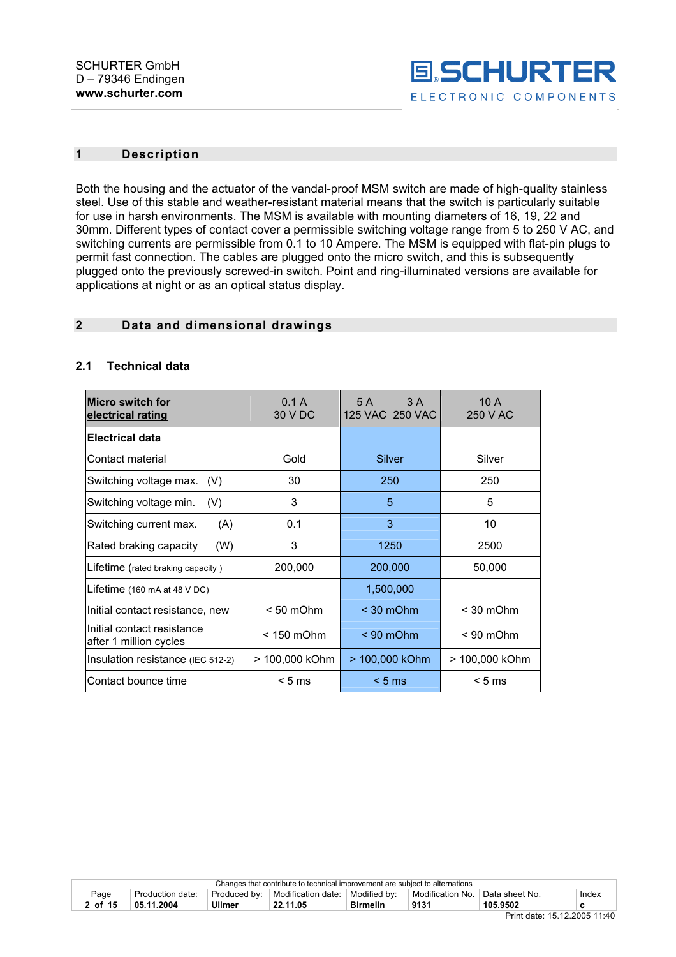

# **1 Description**

Both the housing and the actuator of the vandal-proof MSM switch are made of high-quality stainless steel. Use of this stable and weather-resistant material means that the switch is particularly suitable for use in harsh environments. The MSM is available with mounting diameters of 16, 19, 22 and 30mm. Different types of contact cover a permissible switching voltage range from 5 to 250 V AC, and switching currents are permissible from 0.1 to 10 Ampere. The MSM is equipped with flat-pin plugs to permit fast connection. The cables are plugged onto the micro switch, and this is subsequently plugged onto the previously screwed-in switch. Point and ring-illuminated versions are available for applications at night or as an optical status display.

# **2 Data and dimensional drawings**

#### **2.1 Technical data**

| <b>Micro switch for</b><br>electrical rating         | 0.1 A<br>30 V DC | 5 A<br><b>125 VAC</b> | 3A<br><b>250 VAC</b> | 10A<br>250 V AC |
|------------------------------------------------------|------------------|-----------------------|----------------------|-----------------|
| Electrical data                                      |                  |                       |                      |                 |
| Contact material                                     | Gold             | Silver                |                      | Silver          |
| Switching voltage max.<br>(V)                        | 30               | 250                   |                      | 250             |
| Switching voltage min.<br>(V)                        | 3                | 5                     |                      | 5               |
| Switching current max.<br>(A)                        | 0.1              | 3                     |                      | 10              |
| (W)<br>Rated braking capacity                        | 3                | 1250                  |                      | 2500            |
| Lifetime (rated braking capacity)                    | 200,000          | 200,000               |                      | 50,000          |
| Lifetime $(160 \text{ mA at } 48 \text{ V DC})$      |                  |                       | 1,500,000            |                 |
| Initial contact resistance, new                      | $< 50$ mOhm      | $<$ 30 mOhm           |                      | $<$ 30 mOhm     |
| Initial contact resistance<br>after 1 million cycles | $< 150$ mOhm     | $< 90$ mOhm           |                      | $< 90$ mOhm     |
| Insulation resistance (IEC 512-2)                    | > 100,000 kOhm   | > 100,000 kOhm        |                      | > 100,000 kOhm  |
| Contact bounce time                                  | < 5 ms           | $< 5 \text{ ms}$      |                      | $< 5$ ms        |

|         | Changes that contribute to technical improvement are subject to alternations |              |                    |                 |                  |                  |       |  |
|---------|------------------------------------------------------------------------------|--------------|--------------------|-----------------|------------------|------------------|-------|--|
| Page    | Production date:                                                             | Produced by: | Modification date: | Modified by:    | Modification No. | ็ Data sheet No. | Index |  |
| 2 of 15 | 05.11.2004                                                                   | Ullmer       | 22.11.05           | <b>Birmelin</b> | 9131             | 105.9502         |       |  |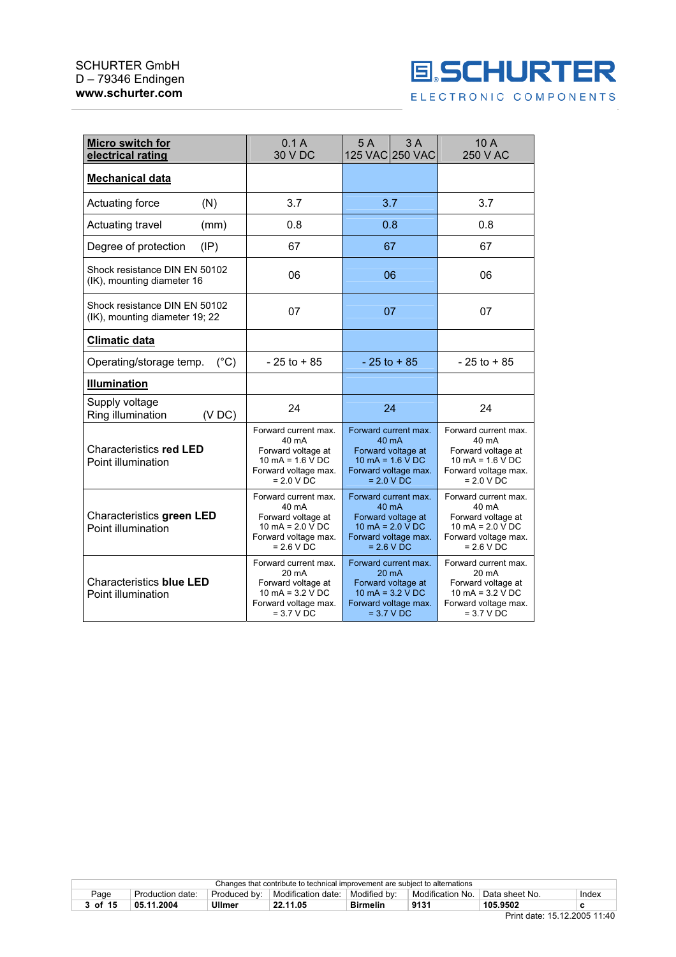

| Micro switch for<br>electrical rating                           | 0.1A<br>30 V DC                                                                                                  | 3A<br>5A<br>125 VAC 250 VAC                                                                                                              | 10 A<br>250 V AC                                                                                                 |
|-----------------------------------------------------------------|------------------------------------------------------------------------------------------------------------------|------------------------------------------------------------------------------------------------------------------------------------------|------------------------------------------------------------------------------------------------------------------|
| Mechanical data                                                 |                                                                                                                  |                                                                                                                                          |                                                                                                                  |
| (N)<br>Actuating force                                          | 3.7                                                                                                              | 3.7                                                                                                                                      | 3.7                                                                                                              |
| Actuating travel<br>(mm)                                        | 0.8                                                                                                              | 0.8                                                                                                                                      | 0.8                                                                                                              |
| (IP)<br>Degree of protection                                    | 67                                                                                                               | 67                                                                                                                                       | 67                                                                                                               |
| Shock resistance DIN EN 50102<br>(IK), mounting diameter 16     | 06                                                                                                               | 06                                                                                                                                       | 06                                                                                                               |
| Shock resistance DIN EN 50102<br>(IK), mounting diameter 19; 22 | 07                                                                                                               | 07                                                                                                                                       | 07                                                                                                               |
| Climatic data                                                   |                                                                                                                  |                                                                                                                                          |                                                                                                                  |
| Operating/storage temp.<br>$(^{\circ}C)$                        | $-25$ to $+85$                                                                                                   | $-25$ to $+85$                                                                                                                           | $-25$ to $+85$                                                                                                   |
| <b>Illumination</b>                                             |                                                                                                                  |                                                                                                                                          |                                                                                                                  |
| Supply voltage<br>Ring illumination<br>(VDC)                    | 24                                                                                                               | 24                                                                                                                                       | 24                                                                                                               |
| Characteristics red LED<br>Point illumination                   | Forward current max.<br>40 mA<br>Forward voltage at<br>10 mA = $1.6$ V DC<br>Forward voltage max.<br>$= 2.0 VDC$ | Forward current max.<br>40 mA<br>Forward voltage at<br>$10 \text{ mA} = 1.6 \text{ V} \text{ DC}$<br>Forward voltage max.<br>$= 2.0 VDC$ | Forward current max.<br>40 mA<br>Forward voltage at<br>10 mA = $1.6$ V DC<br>Forward voltage max.<br>$= 2.0 VDC$ |
| Characteristics green LED<br>Point illumination                 | Forward current max.<br>40 mA<br>Forward voltage at<br>10 mA = $2.0$ V DC<br>Forward voltage max.<br>$= 2.6 VDC$ | Forward current max.<br>40 mA<br>Forward voltage at<br>10 mA = $2.0$ V DC<br>Forward voltage max.<br>$= 2.6 VDC$                         | Forward current max.<br>40 mA<br>Forward voltage at<br>10 mA = $2.0$ V DC<br>Forward voltage max.<br>$= 2.6 VDC$ |
| Characteristics blue LED<br>Point illumination                  | Forward current max.<br>20 mA<br>Forward voltage at<br>10 mA = $3.2$ V DC<br>Forward voltage max.                | Forward current max.<br>20 mA<br>Forward voltage at<br>10 mA = $3.2$ V DC<br>Forward voltage max.                                        | Forward current max.<br>20 mA<br>Forward voltage at<br>10 mA = $3.2$ V DC<br>Forward voltage max.                |

= 3.7 V DC

= 3.7 V DC

= 3.7 V DC

|         | Changes that contribute to technical improvement are subject to alternations |              |                           |                 |                  |                             |       |  |
|---------|------------------------------------------------------------------------------|--------------|---------------------------|-----------------|------------------|-----------------------------|-------|--|
| Page    | Production date:                                                             | Produced by: | <b>Modification date:</b> | Modified by:    | Modification No. | <sup>'</sup> Data sheet No. | Index |  |
| 3 of 15 | 05.11.2004                                                                   | Ullmer       | 22.11.05                  | <b>Birmelin</b> | 9131             | 105.9502                    |       |  |
|         |                                                                              |              |                           |                 |                  |                             | .     |  |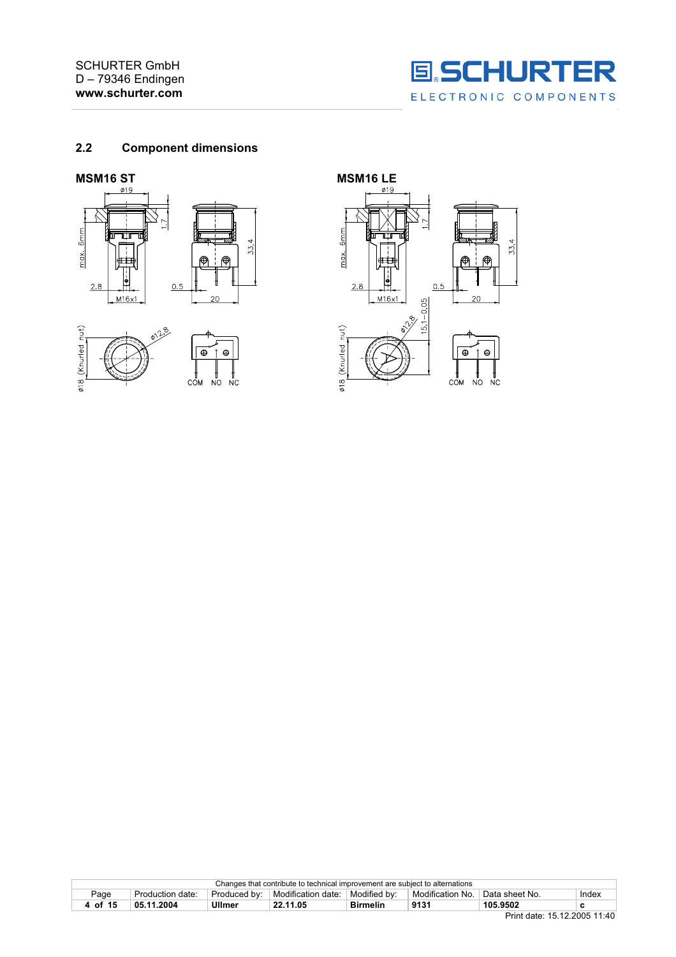

### **2.2 Component dimensions**





|         | Changes that contribute to technical improvement are subject to alternations |               |                    |                 |                  |                |       |  |
|---------|------------------------------------------------------------------------------|---------------|--------------------|-----------------|------------------|----------------|-------|--|
| Page    | Production date:                                                             | Produced by:  | Modification date: | Modified by:    | Modification No. | Data sheet No. | Index |  |
| 4 of 15 | 05.11.2004                                                                   | <b>Ullmer</b> | 22.11.05           | <b>Birmelin</b> | 9131             | 105.9502       |       |  |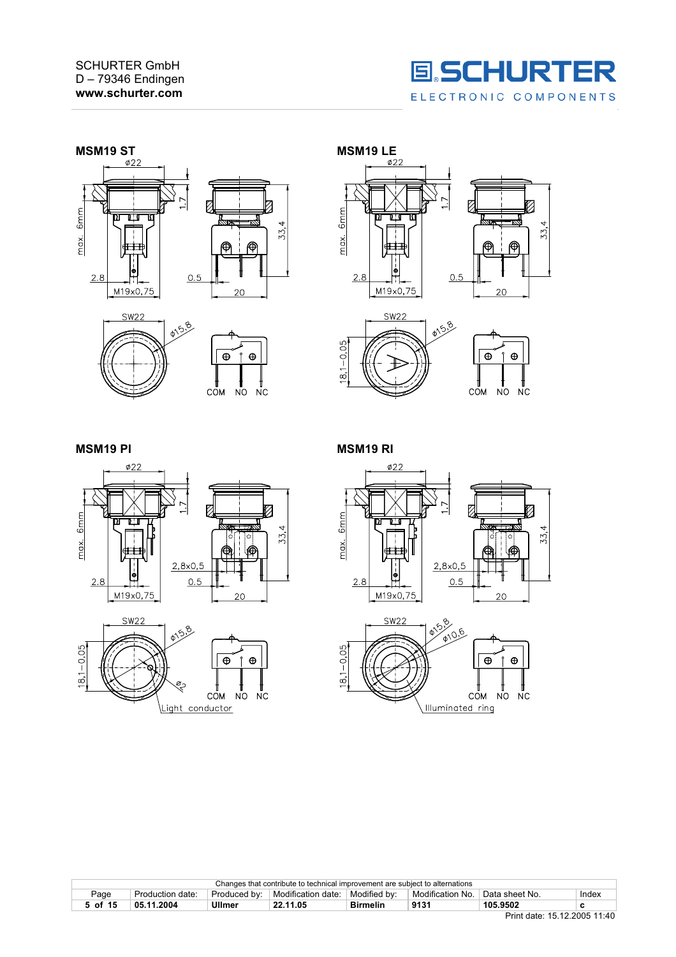











**MSM19 PI** MSM19 RI





 $Ø27$ P K  $6mm$ 33, max.  $2,8\times0,5$  $2.8$  $0.5$ M19x0,75 20



|         | Changes that contribute to technical improvement are subject to alternations |                |                      |                 |                  |                             |       |  |
|---------|------------------------------------------------------------------------------|----------------|----------------------|-----------------|------------------|-----------------------------|-------|--|
| Page    | Production date:                                                             | . Produced bv: | ⊥ Modification date: | Modified by:    | Modification No. | <sup>∣</sup> Data sheet No. | Index |  |
| 5 of 15 | 05.11.2004                                                                   | Ullmer         | 22.11.05             | <b>Birmelin</b> | 9131             | 105.9502                    |       |  |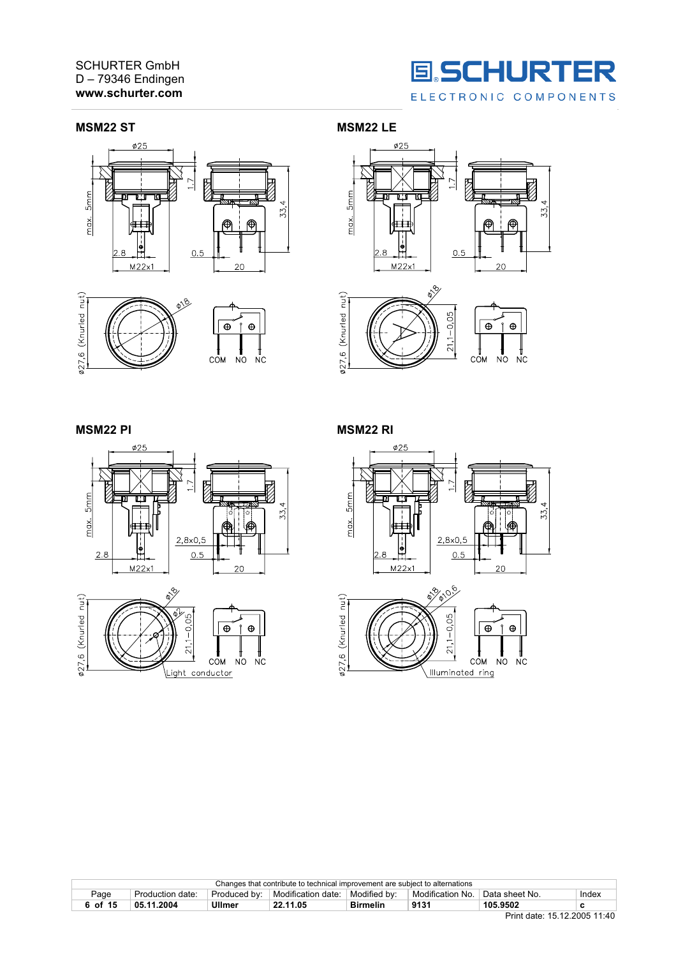#### SCHURTER GmbH D – 79346 Endingen **www.schurter.com**



#### **MSM22 ST MSM22 LE**









#### **MSM22 PI MSM22 RI**









|         | Changes that contribute to technical improvement are subject to alternations |               |                                   |                 |                  |                             |       |  |
|---------|------------------------------------------------------------------------------|---------------|-----------------------------------|-----------------|------------------|-----------------------------|-------|--|
| Page    | Production date:                                                             | Produced by:  | Modification date:   Modified by: |                 | Modification No. | <sup>1</sup> Data sheet No. | Index |  |
| 6 of 15 | 05.11.2004                                                                   | <b>Ullmer</b> | 22.11.05                          | <b>Birmelin</b> | 9131             | 105.9502                    |       |  |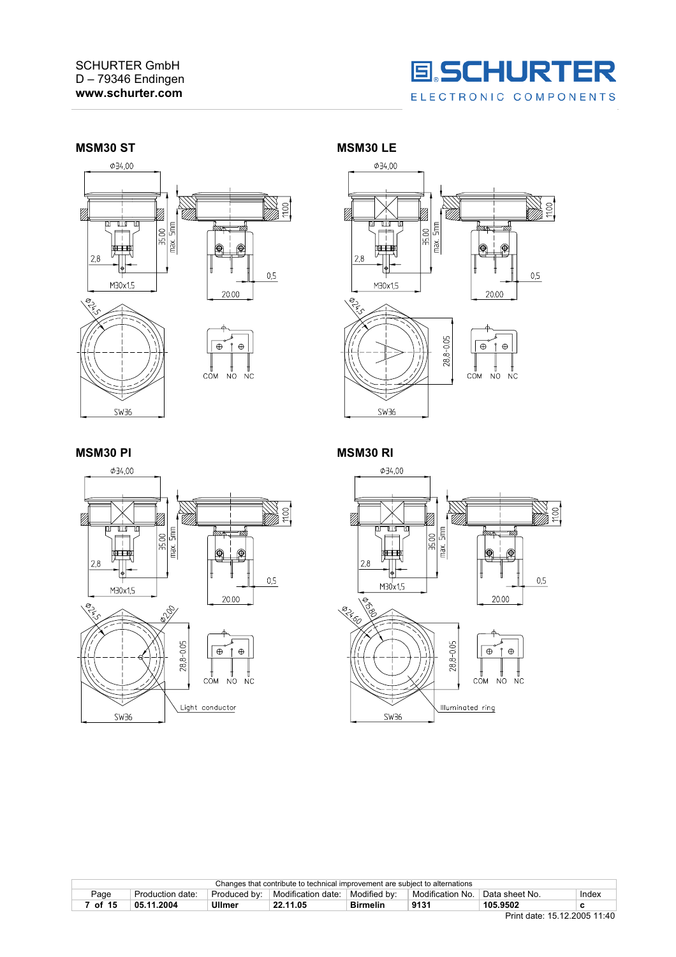







**MSM30 PI** MSM30 RI



| Changes that contribute to technical improvement are subject to alternations |                  |              |                    |                 |                  |                             |       |
|------------------------------------------------------------------------------|------------------|--------------|--------------------|-----------------|------------------|-----------------------------|-------|
| Page                                                                         | Production date: | Produced by: | Modification date: | Modified by:    | Modification No. | <sup>1</sup> Data sheet No. | Index |
| <sup>7</sup> of 15                                                           | 05.11.2004       | Ullmer       | 22.11.05           | <b>Birmelin</b> | 9131             | 105.9502                    |       |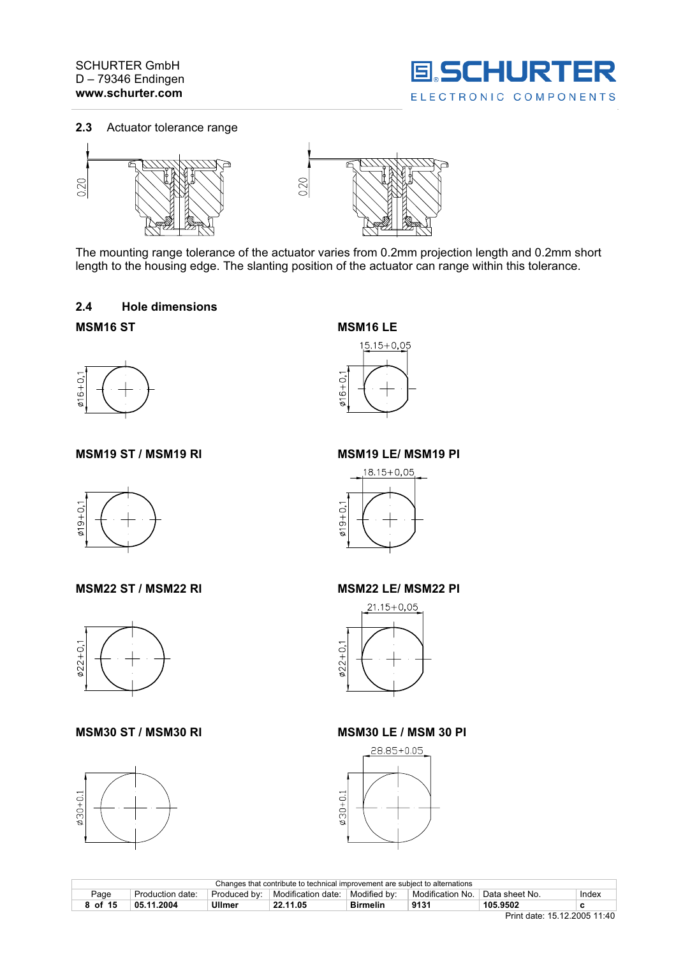





The mounting range tolerance of the actuator varies from 0.2mm projection length and 0.2mm short length to the housing edge. The slanting position of the actuator can range within this tolerance.

### **2.4 Hole dimensions**

# **MSM16 ST MSM16 LE**



**MSM19 ST / MSM19 RI MSM19 LE/ MSM19 PI** 



**MSM22 ST / MSM22 RI MSM22 LE/ MSM22 PI** 



# **MSM30 ST / MSM30 RI MSM30 LE / MSM 30 PI**











| Changes that contribute to technical improvement are subject to alternations |                  |              |                           |                 |                  |                |       |
|------------------------------------------------------------------------------|------------------|--------------|---------------------------|-----------------|------------------|----------------|-------|
| Page                                                                         | Production date: | Produced by: | <b>Modification date:</b> | Modified by:    | Modification No. | Data sheet No. | Index |
| 8 of 15                                                                      | 05.11.2004       | Ullmer       | 22.11.05                  | <b>Birmelin</b> | 9131             | 105.9502       |       |
|                                                                              |                  |              |                           |                 |                  |                |       |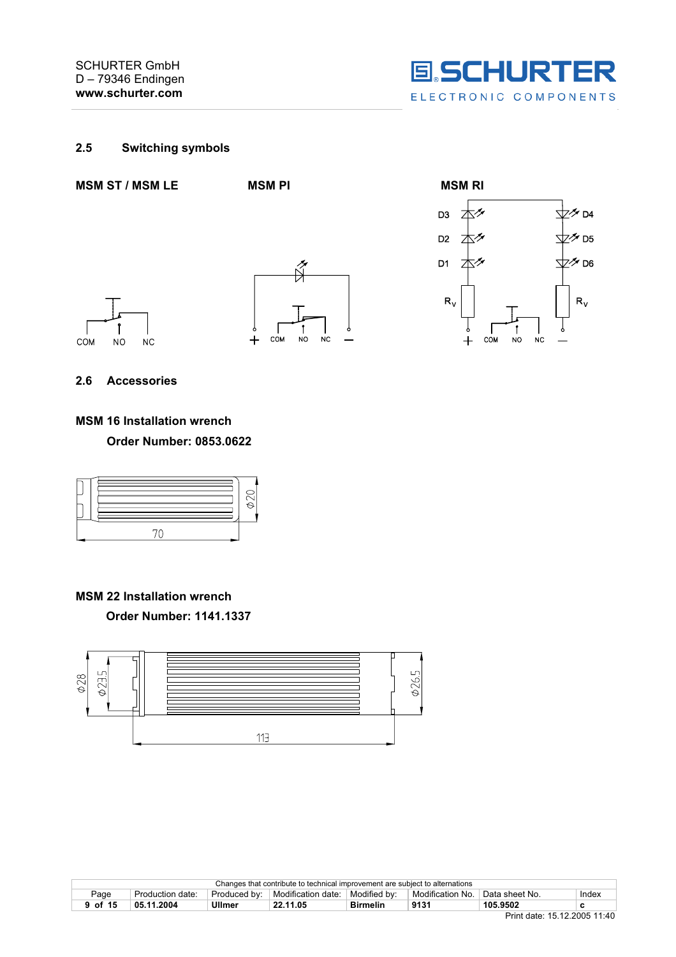

# **2.5 Switching symbols**





**MSM 22 Installation wrench Order Number: 1141.1337**



|         | Changes that contribute to technical improvement are subject to alternations |              |                    |                 |                  |                |       |  |
|---------|------------------------------------------------------------------------------|--------------|--------------------|-----------------|------------------|----------------|-------|--|
| Page    | Production date:                                                             | Produced by: | Modification date: | Modified by:    | Modification No. | Data sheet No. | Index |  |
| 9 of 15 | 05.11.2004                                                                   | Ullmer       | 22.11.05           | <b>Birmelin</b> | 9131             | 105.9502       |       |  |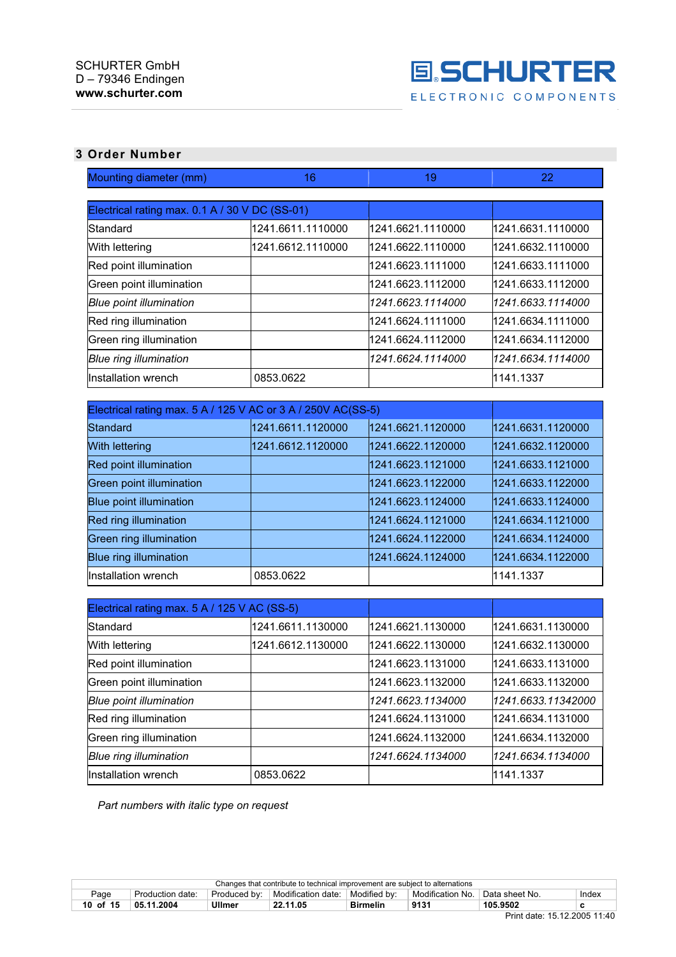

# **3 Order Number**

| Mounting diameter (mm)                                       | 16                | 19                | 22                 |
|--------------------------------------------------------------|-------------------|-------------------|--------------------|
| Electrical rating max. 0.1 A / 30 V DC (SS-01)               |                   |                   |                    |
| Standard                                                     | 1241.6611.1110000 | 1241.6621.1110000 | 1241.6631.1110000  |
| With lettering                                               | 1241.6612.1110000 | 1241.6622.1110000 | 1241.6632.1110000  |
| Red point illumination                                       |                   | 1241.6623.1111000 | 1241.6633.1111000  |
| Green point illumination                                     |                   | 1241.6623.1112000 | 1241.6633.1112000  |
| <b>Blue point illumination</b>                               |                   | 1241.6623.1114000 | 1241.6633.1114000  |
| Red ring illumination                                        |                   | 1241.6624.1111000 | 1241.6634.1111000  |
| Green ring illumination                                      |                   | 1241.6624.1112000 | 1241.6634.1112000  |
| <b>Blue ring illumination</b>                                |                   | 1241.6624.1114000 | 1241.6634.1114000  |
| Installation wrench                                          | 0853.0622         |                   | 1141.1337          |
|                                                              |                   |                   |                    |
| Electrical rating max. 5 A / 125 V AC or 3 A / 250V AC(SS-5) |                   |                   |                    |
| Standard                                                     | 1241.6611.1120000 | 1241.6621.1120000 | 1241.6631.1120000  |
| With lettering                                               | 1241.6612.1120000 | 1241.6622.1120000 | 1241.6632.1120000  |
| Red point illumination                                       |                   | 1241.6623.1121000 | 1241.6633.1121000  |
| <b>Green point illumination</b>                              |                   | 1241.6623.1122000 | 1241.6633.1122000  |
| <b>Blue point illumination</b>                               |                   | 1241.6623.1124000 | 1241.6633.1124000  |
| Red ring illumination                                        |                   | 1241.6624.1121000 | 1241.6634.1121000  |
| <b>Green ring illumination</b>                               |                   | 1241.6624.1122000 | 1241.6634.1124000  |
| <b>Blue ring illumination</b>                                |                   | 1241.6624.1124000 | 1241.6634.1122000  |
| Installation wrench                                          | 0853.0622         |                   | 1141.1337          |
|                                                              |                   |                   |                    |
| Electrical rating max. 5 A / 125 V AC (SS-5)                 |                   |                   |                    |
| Standard                                                     | 1241.6611.1130000 | 1241.6621.1130000 | 1241.6631.1130000  |
| With lettering                                               | 1241.6612.1130000 | 1241.6622.1130000 | 1241.6632.1130000  |
| Red point illumination                                       |                   | 1241.6623.1131000 | 1241.6633.1131000  |
| Green point illumination                                     |                   | 1241.6623.1132000 | 1241.6633.1132000  |
| <b>Blue point illumination</b>                               |                   | 1241.6623.1134000 | 1241.6633.11342000 |
| Red ring illumination                                        |                   | 1241.6624.1131000 | 1241.6634.1131000  |
| Green ring illumination                                      |                   | 1241.6624.1132000 | 1241.6634.1132000  |

*Part numbers with italic type on request*

| Changes that contribute to technical improvement are subject to alternations |                                                                                                                                    |        |          |                 |      |          |  |
|------------------------------------------------------------------------------|------------------------------------------------------------------------------------------------------------------------------------|--------|----------|-----------------|------|----------|--|
| Page                                                                         | Modification No.<br>Modified by:<br>Modification date:<br><sup>⊢</sup> Data sheet No.<br>Produced by:<br>Index<br>Production date: |        |          |                 |      |          |  |
| 10 of 15                                                                     | 05.11.2004                                                                                                                         | Ullmer | 22.11.05 | <b>Birmelin</b> | 9131 | 105.9507 |  |

*Blue ring illumination 1241.6624.1134000 1241.6634.1134000*

Installation wrench 0853.0622 1141.1337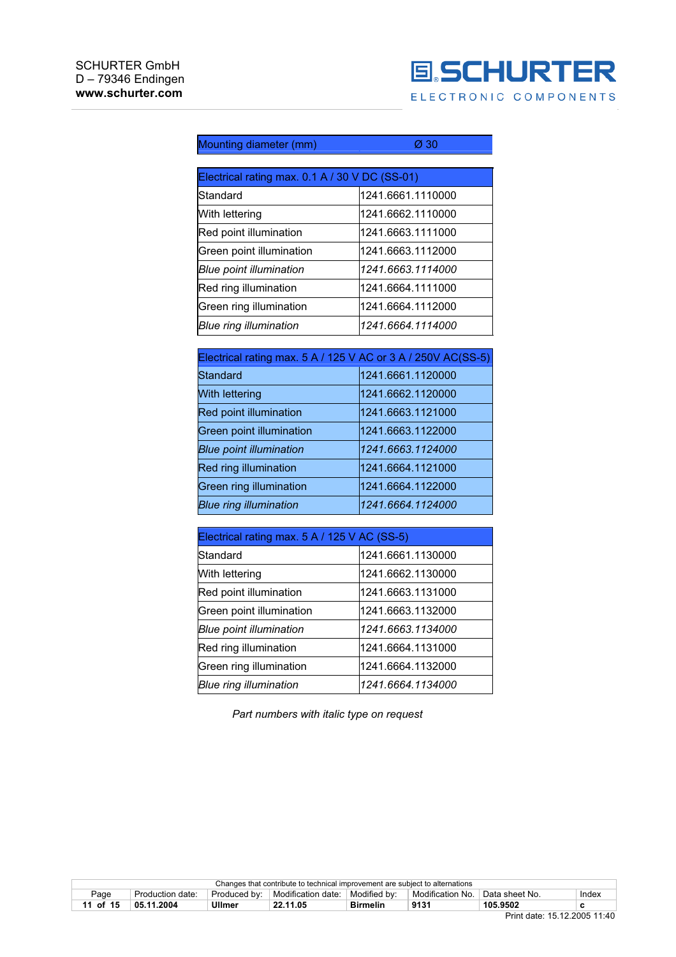

| Mounting diameter (mm)                         | Ø 30              |  |  |
|------------------------------------------------|-------------------|--|--|
|                                                |                   |  |  |
| Electrical rating max. 0.1 A / 30 V DC (SS-01) |                   |  |  |
| lStandard                                      | 1241.6661.1110000 |  |  |
| With lettering                                 | 1241.6662.1110000 |  |  |
| Red point illumination                         | 1241.6663.1111000 |  |  |
| Green point illumination                       | 1241.6663.1112000 |  |  |
| Blue point illumination                        | 1241.6663.1114000 |  |  |
| Red ring illumination                          | 1241.6664.1111000 |  |  |
| Green ring illumination                        | 1241.6664.1112000 |  |  |
| <b>Blue ring illumination</b>                  | 1241.6664.1114000 |  |  |

| Electrical rating max. 5 A / 125 V AC or 3 A / 250V AC(SS-5) |                   |
|--------------------------------------------------------------|-------------------|
| Standard                                                     | 1241.6661.1120000 |
| <b>With lettering</b>                                        | 1241.6662.1120000 |
| Red point illumination                                       | 1241.6663.1121000 |
| Green point illumination                                     | 1241.6663.1122000 |
| <b>Blue point illumination</b>                               | 1241.6663.1124000 |
| Red ring illumination                                        | 1241.6664.1121000 |
| Green ring illumination                                      | 1241.6664.1122000 |
| <b>Blue ring illumination</b>                                | 1241.6664.1124000 |

| Electrical rating max. 5 A / 125 V AC (SS-5) |                   |  |  |  |  |
|----------------------------------------------|-------------------|--|--|--|--|
| Standard                                     | 1241.6661.1130000 |  |  |  |  |
| With lettering                               | 1241.6662.1130000 |  |  |  |  |
| Red point illumination                       | 1241.6663.1131000 |  |  |  |  |
| Green point illumination                     | 1241.6663.1132000 |  |  |  |  |
| Blue point illumination                      | 1241.6663.1134000 |  |  |  |  |
| Red ring illumination                        | 1241.6664.1131000 |  |  |  |  |
| Green ring illumination                      | 1241.6664.1132000 |  |  |  |  |
| <b>Blue ring illumination</b>                | 1241.6664.1134000 |  |  |  |  |

*Part numbers with italic type on request*

| Modified by:<br>⊪ Modification date:<br>Modification No<br>Data sheet No.<br>Page<br>Produced by:<br>Production date: |          | Changes that contribute to technical improvement are subject to alternations |               |          |                 |      |          |   |
|-----------------------------------------------------------------------------------------------------------------------|----------|------------------------------------------------------------------------------|---------------|----------|-----------------|------|----------|---|
|                                                                                                                       | Index    |                                                                              |               |          |                 |      |          |   |
|                                                                                                                       | 15<br>of | 05.11.2004                                                                   | <b>Jilmer</b> | 22.11.05 | <b>Birmelin</b> | 9131 | 105.9502 | с |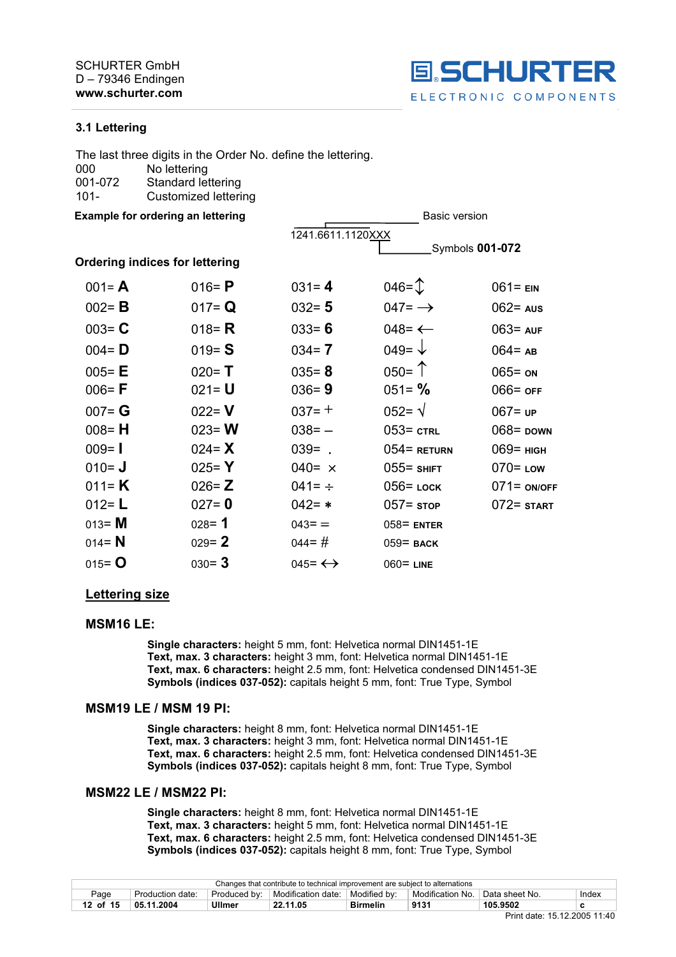

#### **3.1 Lettering**

|         | The last three digits in the Order No. define the lettering. |
|---------|--------------------------------------------------------------|
| 000     | No lettering                                                 |
| 001-072 | <b>Standard lettering</b>                                    |
| $101 -$ | Customized lettering                                         |
|         |                                                              |

**Example for ordering an lettering discussion of the set of the Basic version of the Basic version** 

|                                       |           | 1241.6611.1120XXX       |                     |                    |
|---------------------------------------|-----------|-------------------------|---------------------|--------------------|
|                                       |           |                         |                     | Symbols 001-072    |
| <b>Ordering indices for lettering</b> |           |                         |                     |                    |
| $001 = A$                             | 016= $P$  | $031 = 4$               | $046 = 1$           | $061 = EN$         |
| $002 = B$                             | 017= $Q$  | $032 = 5$               | $047 = \rightarrow$ | $062 = \text{aus}$ |
| $003 = C$                             | 018 = $R$ | $033 = 6$               | 048= $\leftarrow$   | $063 = AUF$        |
| $004 = D$                             | $019 = S$ | $034 = 7$               | 049= $\sqrt{ }$     | $064 = AB$         |
| $005 = E$                             | $020 = T$ | $035 = 8$               | $050 =$ $\uparrow$  | $065 =$ ON         |
| $006 = F$                             | $021 = U$ | $036 = 9$               | $051 = \%$          | $066 =$ OFF        |
| $007 = G$                             | $022 = V$ | $037 = +$               | $052 = \sqrt{ }$    | $067 = UP$         |
| $008 = H$                             | $023 = W$ | $038 = -$               | $053 = \text{crit}$ | $068 =$ DOWN       |
| $009 = 1$                             | 024= $X$  | $039 = .$               | $054$ = Return      | $069$ = нісн       |
| $010 = J$                             | 025= $Y$  | 040= $\times$           | $055 =$ SHIFT       | $070 =$ Low        |
| 011= $K$                              | $026 = Z$ | 041= $\div$             | $056$ = LOCK        | $071 = ON/OFF$     |
| 012= $L$                              | $027 = 0$ | $042 = *$               | $057 =$ stop        | $072 =$ start      |
| $013 = M$                             | $028 = 1$ | $043 =$                 | $058$ = ENTER       |                    |
| 014 = $N$                             | $029 = 2$ | $044 = #$               | $059$ = BACK        |                    |
| $015 = 0$                             | $030 = 3$ | $045 = \leftrightarrow$ | $060 =$ LINE        |                    |
|                                       |           |                         |                     |                    |

#### **Lettering size**

#### **MSM16 LE:**

**Single characters:** height 5 mm, font: Helvetica normal DIN1451-1E **Text, max. 3 characters:** height 3 mm, font: Helvetica normal DIN1451-1E **Text, max. 6 characters:** height 2.5 mm, font: Helvetica condensed DIN1451-3E **Symbols (indices 037-052):** capitals height 5 mm, font: True Type, Symbol

#### **MSM19 LE / MSM 19 PI:**

**Single characters:** height 8 mm, font: Helvetica normal DIN1451-1E **Text, max. 3 characters:** height 3 mm, font: Helvetica normal DIN1451-1E **Text, max. 6 characters:** height 2.5 mm, font: Helvetica condensed DIN1451-3E **Symbols (indices 037-052):** capitals height 8 mm, font: True Type, Symbol

#### **MSM22 LE / MSM22 PI:**

**Single characters:** height 8 mm, font: Helvetica normal DIN1451-1E **Text, max. 3 characters:** height 5 mm, font: Helvetica normal DIN1451-1E **Text, max. 6 characters:** height 2.5 mm, font: Helvetica condensed DIN1451-3E **Symbols (indices 037-052):** capitals height 8 mm, font: True Type, Symbol

| Changes that contribute to technical improvement are subject to alternations |                  |              |                                   |                 |                  |                             |       |
|------------------------------------------------------------------------------|------------------|--------------|-----------------------------------|-----------------|------------------|-----------------------------|-------|
| Page                                                                         | Production date: | Produced by: | Modification date:   Modified by: |                 | Modification No. | <sup>⊥</sup> Data sheet No. | Index |
| 12 of 15                                                                     | 05.11.2004       | Ullmer       | 22.11.05                          | <b>Birmelin</b> | 9131             | 105.9502                    |       |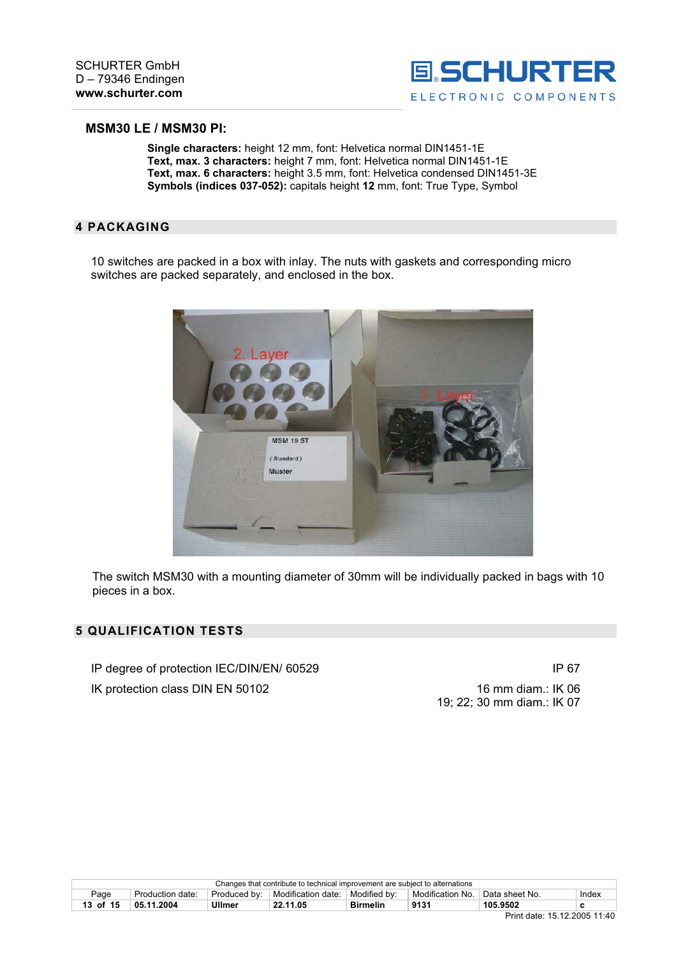

#### **MSM30 LE / MSM30 PI:**

**Single characters:** height 12 mm, font: Helvetica normal DIN1451-1E **Text, max. 3 characters:** height 7 mm, font: Helvetica normal DIN1451-1E **Text, max. 6 characters:** height 3.5 mm, font: Helvetica condensed DIN1451-3E **Symbols (indices 037-052):** capitals height **12** mm, font: True Type, Symbol

#### **4 PACKAGING**

10 switches are packed in a box with inlay. The nuts with gaskets and corresponding micro switches are packed separately, and enclosed in the box.



The switch MSM30 with a mounting diameter of 30mm will be individually packed in bags with 10 pieces in a box.

### **5 QUALIFICATION TESTS**

IP degree of protection IEC/DIN/EN/ 60529 IP 67

IK protection class DIN EN 50102 16 mm diam.: IK 06

19; 22; 30 mm diam.: IK 07

| Changes that contribute to technical improvement are subject to alternations |                  |              |                    |                 |                  |                             |       |
|------------------------------------------------------------------------------|------------------|--------------|--------------------|-----------------|------------------|-----------------------------|-------|
| Page                                                                         | Production date: | Produced by: | Modification date: | Modified by:    | Modification No. | <sup>'</sup> Data sheet No. | Index |
| 13 of 15                                                                     | 05.11.2004       | Ullmer       | 22.11.05           | <b>Birmelin</b> | 9131             | 105.9507                    |       |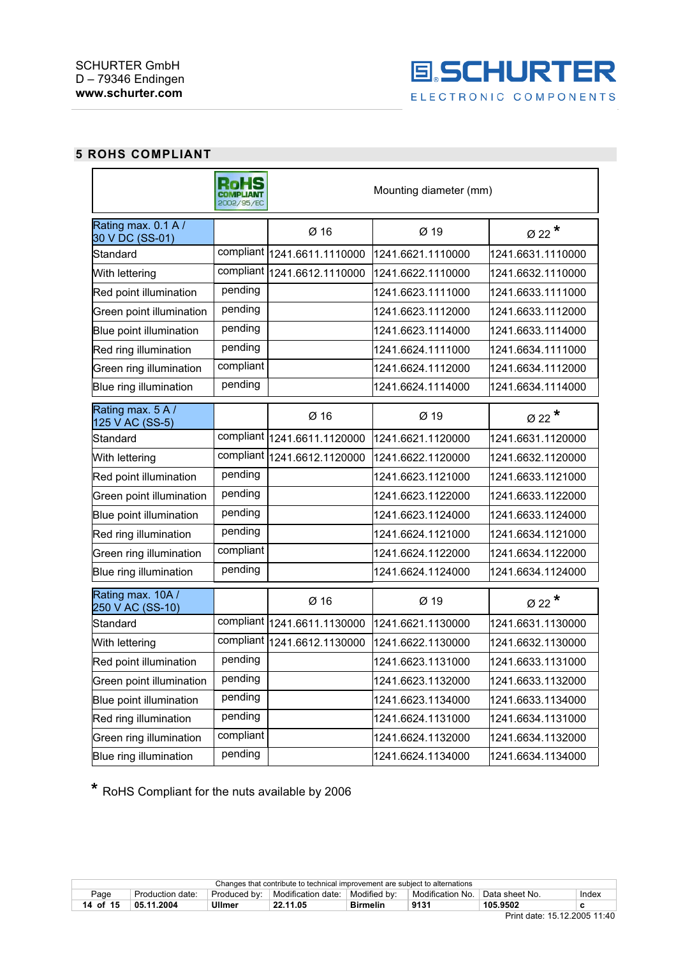

# **5 ROHS COMPLIANT**

|                                        | 2002/95/EC | Mounting diameter (mm)      |                   |                             |  |
|----------------------------------------|------------|-----------------------------|-------------------|-----------------------------|--|
| Rating max. 0.1 A /<br>30 V DC (SS-01) |            | Ø 16                        | Ø 19              | Ø 22 $*$                    |  |
| Standard                               |            | compliant 1241.6611.1110000 | 1241.6621.1110000 | 1241.6631.1110000           |  |
| With lettering                         |            | compliant 1241.6612.1110000 | 1241.6622.1110000 | 1241.6632.1110000           |  |
| Red point illumination                 | pending    |                             | 1241.6623.1111000 | 1241.6633.1111000           |  |
| Green point illumination               | pending    |                             | 1241.6623.1112000 | 1241.6633.1112000           |  |
| Blue point illumination                | pending    |                             | 1241.6623.1114000 | 1241.6633.1114000           |  |
| Red ring illumination                  | pending    |                             | 1241.6624.1111000 | 1241.6634.1111000           |  |
| Green ring illumination                | compliant  |                             | 1241.6624.1112000 | 1241.6634.1112000           |  |
| Blue ring illumination                 | pending    |                             | 1241.6624.1114000 | 1241.6634.1114000           |  |
| Rating max. 5 A /<br>125 V AC (SS-5)   |            | Ø 16                        | $Ø$ 19            | Ø 22 $*$                    |  |
| Standard                               |            | compliant 1241.6611.1120000 | 1241.6621.1120000 | 1241.6631.1120000           |  |
| With lettering                         |            | compliant 1241.6612.1120000 | 1241.6622.1120000 | 1241.6632.1120000           |  |
| Red point illumination                 | pending    |                             | 1241.6623.1121000 | 1241.6633.1121000           |  |
| Green point illumination               | pending    |                             | 1241.6623.1122000 | 1241.6633.1122000           |  |
| Blue point illumination                | pending    |                             | 1241.6623.1124000 | 1241.6633.1124000           |  |
| Red ring illumination                  | pending    |                             | 1241.6624.1121000 | 1241.6634.1121000           |  |
| Green ring illumination                | compliant  |                             | 1241.6624.1122000 | 1241.6634.1122000           |  |
| Blue ring illumination                 | pending    |                             | 1241.6624.1124000 | 1241.6634.1124000           |  |
| Rating max. 10A /<br>250 V AC (SS-10)  |            | Ø 16                        | Ø 19              | $\emptyset$ 22 <sup>*</sup> |  |
| Standard                               |            | compliant 1241.6611.1130000 | 1241.6621.1130000 | 1241.6631.1130000           |  |
| With lettering                         |            | compliant 1241.6612.1130000 | 1241.6622.1130000 | 1241.6632.1130000           |  |
| Red point illumination                 | pending    |                             | 1241.6623.1131000 | 1241.6633.1131000           |  |
| Green point illumination               | pending    |                             | 1241.6623.1132000 | 1241.6633.1132000           |  |
| Blue point illumination                | pending    |                             | 1241.6623.1134000 | 1241.6633.1134000           |  |
| Red ring illumination                  | pending    |                             | 1241.6624.1131000 | 1241.6634.1131000           |  |
| Green ring illumination                | compliant  |                             | 1241.6624.1132000 | 1241.6634.1132000           |  |
| Blue ring illumination                 | pending    |                             | 1241.6624.1134000 | 1241.6634.1134000           |  |

**\*** RoHS Compliant for the nuts available by 2006

| Changes that contribute to technical improvement are subject to alternations |                  |               |                    |                 |                    |                |       |
|------------------------------------------------------------------------------|------------------|---------------|--------------------|-----------------|--------------------|----------------|-------|
| Page                                                                         | Production date: | Produced by:  | Modification date: | Modified by:    | Modification<br>No | Data sheet No. | Index |
| 14 of 15                                                                     | 2004<br>05.11    | <b>Ullmer</b> | 22.11.05           | <b>Birmelin</b> | 9131               | 105.9502       |       |